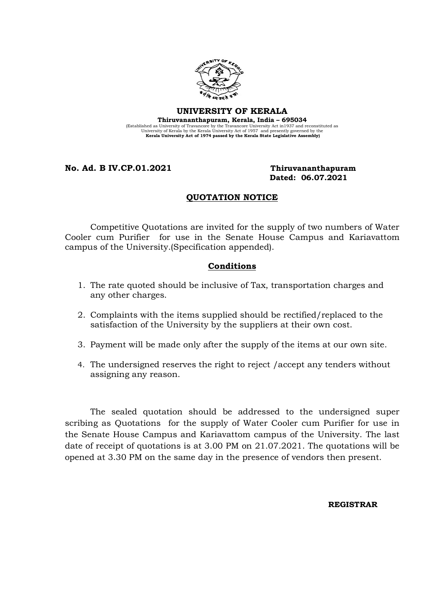

## UNIVERSITY OF KERALA Thiruvananthapuram, Kerala, India – 695034

(Established as University of Travancore by the Travancore University Act in 1937 and reconstituted as<br>University of Kerala by the Kerala University Act of 1957 and presently governed by the<br>Kerala University Act of 1974 p

No. Ad. B IV.CP.01.2021 Thiruvananthapuram

# Dated: 06.07.2021

# QUOTATION NOTICE

 Competitive Quotations are invited for the supply of two numbers of Water Cooler cum Purifier for use in the Senate House Campus and Kariavattom campus of the University.(Specification appended).

#### Conditions

- 1. The rate quoted should be inclusive of Tax, transportation charges and any other charges.
- 2. Complaints with the items supplied should be rectified/replaced to the satisfaction of the University by the suppliers at their own cost.
- 3. Payment will be made only after the supply of the items at our own site.
- 4. The undersigned reserves the right to reject /accept any tenders without assigning any reason.

The sealed quotation should be addressed to the undersigned super scribing as Quotations for the supply of Water Cooler cum Purifier for use in the Senate House Campus and Kariavattom campus of the University. The last date of receipt of quotations is at 3.00 PM on 21.07.2021. The quotations will be opened at 3.30 PM on the same day in the presence of vendors then present.

REGISTRAR